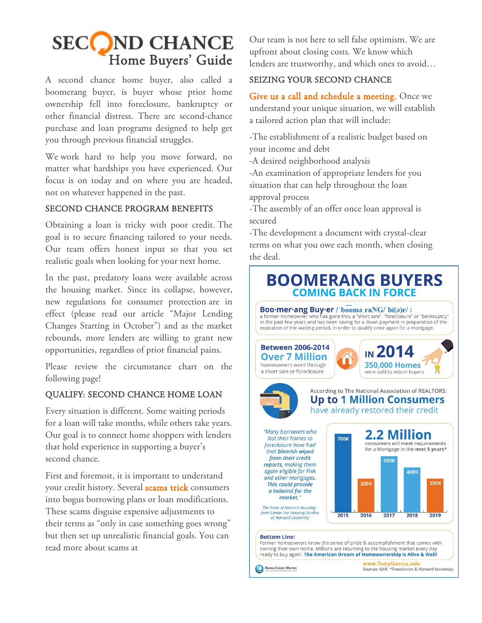# SECCOND CHANCE Home Buyers' Guide

A second chance home buyer, also called a boomerang buyer, is buyer whose prior home ownership fell into foreclosure, bankruptcy or other financial distress. There are second-chance purchase and loan programs designed to help get you through previous financial struggles.

We work hard to help you move forward, no matter what hardships you have experienced. Our focus is on today and on where you are headed, not on whatever happened in the past.

### SECOND CHANCE PROGRAM BENEFITS

Obtaining a loan is tricky with poor credit. The goal is to secure financing tailored to your needs. Our team offers honest input so that you set realistic goals when looking for your next home.

In the past, predatory loans were available across the housing market. Since its collapse, however, new [regulations for consumer protection](http://pdxhomegroup.com/2015/09/20/major-lending-changes-october/) are in effect (please read our article "Major Lending Changes Starting in October") and as the market rebounds, more lenders are willing to grant new opportunities, regardless of prior financial pains.

Please review the circumstance chart on the following page!

## QUALIFY: SECOND CHANCE HOME LOAN

Every situation is different. Some waiting periods for a loan will take months, while others take years. Our goal is to connect home shoppers with lenders that hold experience in supporting a buyer's second chance.

First and foremost, it is important to understand your credit history. Several [scams trick](http://www.consumeraffairs.com/loan-modification-and-mortgage-foreclosure-scams) consumers into bogus borrowing plans or loan modifications. These scams disguise expensive adjustments to their terms as "only in case something goes wrong" but then set up unrealistic financial goals. You can read more about scams at

Our team is not here to sell false optimism. We are [upfront about closing costs.](http://pdxhomegroup.com/resources-portland-real-estate/) We know which lenders are trustworthy, and which ones to avoid…

### SEIZING YOUR SECOND CHANCE

[Give us a call and schedule a meeting.](http://www.nexthomepdx.com/contactus/) Once we understand your unique situation, we will establish a tailored action plan that will include:

-The establishment of a realistic budget based on your income and debt

-A desired neighborhood analysis

-An examination of appropriate lenders for you situation that can help throughout the loan approval process

-The assembly of an offer once loan approval is secured

-The development a document with crystal-clear terms on what you owe each month, when closing the deal.

# **BOOMERANG BUYERS COMING BACK IN FORCE**

Boo·mer·ang Buy·er /'booma\_raNG/'bī(a)r/: a former homeowner who has gone thru a "short sale", "foreclosure" or "bankruptcy" in the past few years and has been saving for a down payment in preparation of the expiration of the waiting period, in order to qualify once again for a mortgage.



The State of Nation's Housing -<br>Joint Center For Housing Studies at Harvard University

**Bottom Line:** 

Former homeowners know the sense of pride & accomplishment that comes with<br>owning their own home. Millions are returning to the housing market every day ready to buy again. The American Dream of Homeownership is Alive & Well!

2016

2017

2015

KEEPING CURRENT MATTERS

**www.TonyGarcia.info**<br>Sources: NAR, \*TransUnion & Harvard University

2018

2019